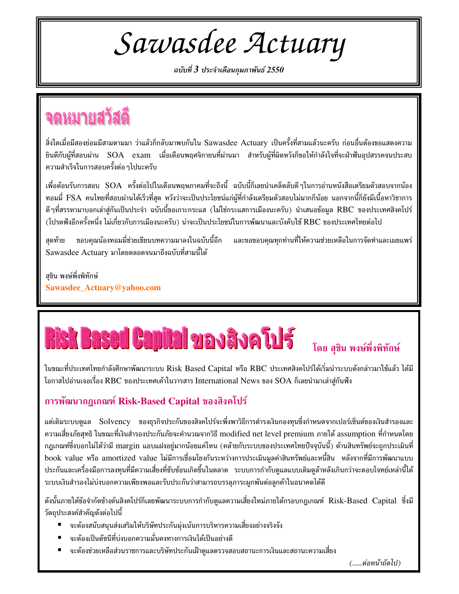Sawasdee Actuary

ฉบับที่  $\boldsymbol{\mathcal{3}}$  ประจำเดือนกุมภาพันธ์ 2550

### จดหมายสวัสดิ

สิ่งใดเมื่อมีสองย่อมมีสามตามมา ว่าแล้วก็กลับมาพบกันใน Sawasdee Actuary เป็นครั้งที่สามแล้วนะครับ ก่อนอื่นต้องขอแสดงความ ยินดีกับผู้ที่สอบผ่าน SOA exam เมื่อเดือนพฤศจิกายนที่ผ่านมา สำหรับผู้ที่ผิดหวังก็ขอให้กำลังใจที่จะฝ่าฟันอุปสรรคจนประสบ ความสำเร็จในการสอบครั้งต่อ ๆไปนะครับ

เพื่อต้อนรับการสอบ SOA ครั้งต่อไปในเดือนพฤษภาคมที่จะถึงนี้ ฉบับนี้ก็เลยนำเคล็ดลับดีๆในการอ่านหนังสือเตรียมตัวสอบจากน้อง ี ทอมมี่ FSA คนไทยที่สอบผ่านได้เร็วที่สุด หวังว่าจะเป็นประโยชน์แก่ผู้ที่กำลังเตรียมตัวสอบไม่มากก็น้อย นอกจากนี้ก็ยังมีเนื้อหาวิชาการ ดี ๆที่สรรหามาบอกเล่าสู่กันเป็นประจำ ฉบับนี้ขอเกาะกระแส (ไม่ใช่กระแสการเมืองนะครับ) นำเสนอข้อมูล RBC ของประเทศสิงคโปร์ (โปรดฟังอีกครั้งหนึ่ง ไม่เกี่ยวกับการเมืองนะครับ) น่าจะเป็นประโยชน์ในการพัฒนาและบังคับใช้ RBC ของประเทศไทยต่อไป

ขอบคุณน้องทอมมี่ช่วยเขียนบทความมาลงในฉบับนี้อีก สดท้าย Sawasdee Actuary มาโดยตลอดจนมาถึงฉบับที่สามนี้ได้

ี และขอขอบคณทุกท่านที่ให้ความช่วยเหลือในการจัดทำและเผยแพร่

สุชิน พงษ์พึ่งพิทักษ์ Sawasdee\_Actuary@yahoo.com

# **Risk Based Capital 21 av äve til f**

#### โดย สุชิน พงษ์พึ่งพิทักษ์

ในขณะที่ประเทศไทยกำลังศึกษาพัฒนาระบบ Risk Based Capital หรือ RBC ประเทศสิงคโปร์ได้เริ่มนำระบบดังกล่าวมาใช้แล้ว ได้มี โอกาสไปอ่านเจอเรื่อง RBC ของประเทศเค้าในวารสาร International News ของ SOA ก็เลยนำมาเล่าสู่กันฟัง

#### การพัฒนากฎเกณฑ์ Risk-Based Capital ของสิงคโปร์

แต่เดิมระบบดูแล Solvency ของธุรกิจประกันของสิงคโปร์จะพึ่งพาวิธีการดำรงเงินกองทุนซึ่งกำหนดจากเปอร์เซ็นต์ของเงินสำรองและ ความเสี่ยงภัยสุทธิ ในขณะที่เงินสำรองประกันภัยจะคำนวณจากวิธี modified net level premium ภายใต้ assumption ที่กำหนดโดย ึกฎเกณฑ์ซึ่งบอกไม่ได้ว่ามี margin แอบแฝงอยู่มากน้อยแค่ไหน (คล้ายกับระบบของประเทศไทยปัจจุบันนี้) ด้านสินทรัพย์จะถูกประเมินที่ book value หรือ amortized value ไม่มีการเชื่อมโยงกันระหว่างการประเมินมูลค่าสินทรัพย์และหนี้สิน หลังจากที่มีการพัฒนาแบบ ประกันและเครื่องมือการลงทุนที่มีความเสี่ยงที่ซับซ้อนเกิดขึ้นในตลาด ระบบการกำกับดูแลแบบเดิมดูล้าหลังเกินกว่าจะตอบโจทย์เหล่านี้ได้ ระบบเงินสำรองไม่บ่งบอกความเพียงพอและรับประกันว่าสามารถบรรลุภาระผูกพันต่อลูกค้าในอนาคตได้ดี

ดังนั้นภายใต้ข้อจำกัดข้างต้นสิงคโปร์ก็เลยพัฒนาระบบการกำกับดูแลความเสี่ยงใหม่ภายใต้กรอบกฎเกณฑ์ Risk-Based Capital ซึ่งมี วัตถุประสงค์สำคัญดังต่อไปนี้

- จะต้องสนับสนุนส่งเสริมให้บริษัทประกันมุ่งเน้นการบริหารความเสี่ยงอย่างจริงจัง
- จะต้องเป็นดัชนีที่บ่งบอกความมั่นคงทางการเงินได้เป็นอย่างดี
- $\blacksquare$ จะต้องช่วยเหลือส่วนราชการและบริษัทประกันเฝ้าดูแลตรวจสอบสถานะการเงินและสถานะความเสี่ยง

(.....ต่อหน้าถัดไป)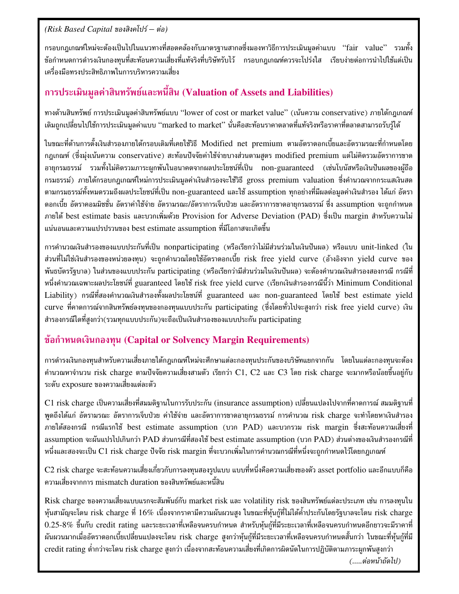#### $(Risk$  *Based Capital ของสิงคโปร์ – ต่อ*)

กรอบกฎเกณฑ์ใหม่จะต้องเป็นไปในแนวทางที่สอดคล้องกับมาตรฐานสากลซึ่งมองหาวิธีการประเมินมูลค่าแบบ "fair value" รวมทั้ง ข้อกำหนดการดำรงเงินกองทุนที่สะท้อนความเสี่ยงที่แท้จริงที่บริษัทรับไว้ กรอบกฎเกณฑ์ควรจะโปร่งใส เรียบง่ายต่อการนำไปใช้แต่เป็น เครื่องมือทรงประสิทธิภาพในการบริหารความเสี่ยง

#### การประเมินมูลค่าสินทรัพย์และหนี้สิน (Valuation of Assets and Liabilities)

ทางด้านสินทรัพย์ การประเมินมูลค่าสินทรัพย์แบบ ''lower of cost or market value'' (เน้นความ conservative) ภายใต้กฎเกณฑ์ เดิมถูกเปลี่ยนไปใช้การประเมินมูลค่าแบบ ''marked to market'' นั่นคือสะท้อนราคาตลาดที่แท้จริงหรือราคาที่ตลาดสามารถรับรู้ได้

ในขณะที่ด้านการตั้งเงินสำรองภายใต้กรอบเดิมที่เคยใช้วิธี Modified net premium ตามอัตราดอกเบี้ยและอัตรามรณะที่กำหนดโดย กฎเกณฑ์ (ซึ่งมุ่งเน้นความ conservative) สะท้อนปัจจัยค่าใช้จ่ายบางส่วนตามสูตร modified premium แต่ไม่คิดรวมอัตราการขาด อายุกรมธรรม์ รวมทั้งไม่คิดรวมภาระผูกพันในอนาคตจากผลประโยชน์ที่เป็น non-guaranteed (เช่นโบนัสหรือเงินปันผลของผู้ถือ กรมธรรม์) ภายใต้กรอบกฎเกณฑ์ใหม่การประเมินมูลค่าเงินสำรองจะใช้วิธี gross premium valuation ซึ่งคำนวณจากกระแสเงินสด ตามกรมธรรม์ทั้งหมดรวมถึงผลประโยชน์ที่เป็น non-guaranteed และใช้ assumption ทุกอย่างที่มีผลต่อมูลค่าเงินสำรอง ได้แก่ อัตรา ดอกเบี้ย อัตราคอมมิชชั่น อัตราค่าใช้จ่าย อัตรามรณะ/อัตราการเจ็บป่วย และอัตราการขาดอายุกรมธรรม์ ซึ่ง assumption จะถูกกำหนด ภายใต้ best estimate basis และบวกเพิ่มด้วย Provision for Adverse Deviation (PAD) ซึ่งเป็น margin สำหรับความไม่ แน่นอนและความแปรปรวนของ best estimate assumption ที่มีโอกาสจะเกิดขึ้น

การคำนวณเงินสำรองของแบบประกันที่เป็น nonparticipating (หรือเรียกว่าไม่มีส่วนร่วมในเงินปันผล) หรือแบบ unit-linked (ใน ส่วนที่ไม่ใช่เงินสำรองของหน่วยลงทุน) จะถูกคำนวณโดยใช้อัตราดอกเบี้ย risk free yield curve (อ้างอิงจาก yield curve ของ -พันธบัตรรัฐบาล) ในส่วนของแบบประกัน participating (หรือเรียกว่ามีส่วนร่วมในเงินปันผล) จะต้องคำนวณเงินสำรองสองกรณี กรณีที่ หนึ่งคำนวณเฉพาะผลประโยชน์ที่ guaranteed โดยใช้ risk free yield curve (เรียกเงินสำรองกรณีนี้ว่า Minimum Conditional Liability) กรณีที่สองคำนวณเงินสำรองทั้งผลประโยชน์ที่ guaranteed และ non-guaranteed โดยใช้ best estimate yield  $\rm{curv}$ e ที่คาดการณ์จากสินทรัพย์ลงทุนของกองทุนแบบประกัน participating (ซึ่งโดยทั่วไปจะสูงกว่า risk free yield curve) เงิน สำรองกรณีใดที่สูงกว่า(รวมทุกแบบประกัน)จะถือเป็นเงินสำรองของแบบประกัน participating

#### <u>ข้</u>อกำหนดเงินกองทุน (Capital or Solvency Margin Requirements)

การดำรงเงินกองทุนสำหรับความเสี่ยงภายใต้กฎเกณฑ์ใหม่จะศึกษาแต่ละกองทุนประกันของบริษัทแยกจากกัน โดยในแต่ละกองทุนจะต้อง คำนวณหาจำนวน risk charge ตามปัจจัยความเสี่ยงสามตัว เรียกว่า C1, C2 และ C3 โดย risk charge จะมากหรือน้อยขึ้นอยู่กับ ระดับ exposure ของความเสี่ยงแต่ละตัว

 $\rm C1$  risk charge เป็นความเสี่ยงที่สมมติฐานในการรับประกัน (insurance assumption) เปลี่ยนแปลงไปจากที่คาดการณ์ สมมติฐานที่ พูดถึงได้แก่ อัตรามรณะ อัตราการเจ็บป่วย ค่าใช้จ่าย และอัตราการขาดอายุกรมธรรม์ การคำนวณ risk charge จะทำโดยหาเงินสำรอง ภายใต้สองกรณี กรณีแรกใช้ best estimate assumption (บวก PAD) และบวกรวม risk margin ซึ่งสะท้อนความเสี่ยงที่ assumption จะผันแปรไปเกินกว่า PAD ส่วนกรณีที่สองใช้ best estimate assumption (บวก PAD) ส่วนต่างของเงินสำรองกรณีที่ หนึ่งและสองจะเป็น C1 risk charge ปัจจัย risk margin ที่จะบวกเพิ่มในการคำนวณกรณีที่หนึ่งจะถูกกำหนดไว้โดยกฎเกณฑ์

 $\rm C2$  risk charge จะสะท้อนความเสี่ยงเกี่ยวกับการลงทุนสองรูปแบบ แบบที่หนึ่งคือความเสี่ยงของตัว asset portfolio และอีกแบบก็คือ ความเสี่ยงจากการ mismatch duration ของสินทรัพย์และหนี้สิน

Risk charge ของความเสี่ยงแบบแรกจะสัมพันธ์กับ market risk และ volatility risk ของสินทรัพย์แต่ละประเภท เช่น การลงทุนใน หุ้นสามัญจะโดน risk charge ที่ 16% เนื่องจากราคามีความผันผวนสูง ในขณะที่หุ้นกู้ที่ไม่ได้ค้ำประกันโดยรัฐบาลจะโดน risk charge  $0.25\text{-}8\%$  ขึ้นกับ credit rating และระยะเวลาที่เหลือจนครบกำหนด สำหรับหุ้นกู้ที่มีระยะเวลาที่เหลือจนครบกำหนดอีกยาวจะมีราคาที่ ผันผวนมากเมื่ออัตราดอกเบี้ยเปลี่ยนแปลงจะโดน risk charge สูงกว่าหุ้นกู้ที่มีระยะเวลาที่เหลือจนครบกำหนดสั้นกว่า ในขณะที่หุ้นกู้ที่มี credit rating ต่ำกว่าจะโดน risk charge สูงกว่า เนื่องจากสะท้อนความเสี่ยงที่เกิดการผิดนัดในการปฏิบัติตามภาระผูกพันสูงกว่า  $\hspace{0.1em}(\,...,\vec{\mathit{e}}\hspace{0.1em}\mathit{on}\,\vec{\mathit{u}}\,$ กำ (.....ต่อหน้าถัดไป)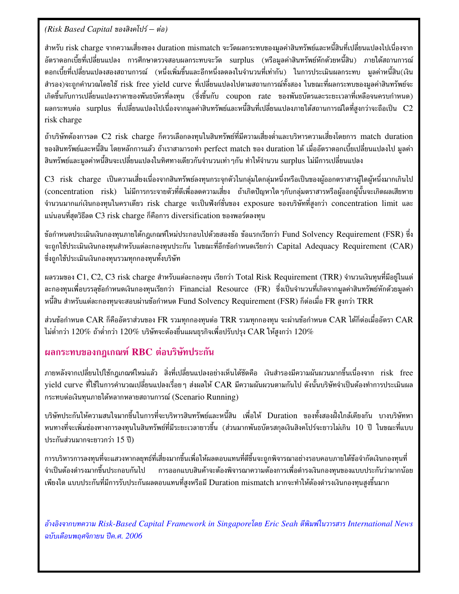$(Risk$  *Based Capital ของสิงคโปร์ – ต่อ*)

สำหรับ risk charge จากความเสี่ยงของ duration mismatch จะวัดผลกระทบของมูลค่าสินทรัพย์และหนี้สินที่เปลี่ยนแปลงไปเนื่องจาก อัตราดอกเบี้ยที่เปลี่ยนแปลง การศึกษาตรวจสอบผลกระทบจะวัด surplus (หรือมูลค่าสินทรัพย์หักด้วยหนี้สิน) ภายใต้สถานการณ์ ดอกเบี้ยที่เปลี่ยนแปลงสองสถานการณ์ (หนึ่งเพิ่มขึ้นและอีกหนึ่งลดลงในจำนวนที่เท่ากัน) ในการประเมินผลกระทบ มูลค่าหนี้สิน(เงิน สำรอง)จะถูกคำนวณโดยใช้ risk free yield curve ที่เปลี่ยนแปลงไปตามสถานการณ์ทั้งสอง ในขณะที่ผลกระทบของมูลค่าสินทรัพย์จะ เกิดขึ้นกับการเปลี่ยนแปลงราคาของพันธบัตรที่ลงทุน (ซึ่งขึ้นกับ coupon rate ของพันธบัตรและระยะเวลาที่เหลือจนครบกำหนด) ผลกระทบต่อ surplus ที่เปลี่ยนแปลงไปเนื่องจากมูลค่าสินทรัพย์และหนี้สินที่เปลี่ยนแปลงภายใต้สถานการณ์ใดที่สูงกว่าจะถือเป็น C2 risk charge

ถ้าบริษัทต้องการลด C2 risk charge ก็ควรเลือกลงทุนในสินทรัพย์ที่มีความเสี่ยงต่ำและบริหารความเสี่ยงโดยการ match duration ของสินทรัพย์และหนี้สิน โดยหลักการแล้ว ถ้าเราสามารถทำ perfect match ของ duration ได้ เมื่ออัตราดอกเบี้ยเปลี่ยนแปลงไป มูลค่า สินทรัพย์และมูลค่าหนี้สินจะเปลี่ยนแปลงในทิศทางเดียวกันจำนวนเท่า ๆกัน ทำให้จำนวน surplus ไม่มีการเปลี่ยนแปลง

 $\rm{C3\;~risk\;~charge~~}$ เป็นความเสี่ยงเนื่องจากสินทรัพย์ลงทุนกระจุกตัวในกลุ่มใดกลุ่มหนึ่งหรือเป็นของผู้ออกตราสารผู้ใดผู้หนึ่งมากเกินไป (concentration risk) ไม่มีการกระจายตัวที่ดีเพื่อลดความเสี่ยง ถ้าเกิดปัญหาใดๆกับกลุ่มตราสารหรือผู้ออกผู้นั้นจะเกิดผลเสียหาย จำนวนมากแก่เงินกองทุนในคราเดียว risk charge จะเป็นฟังก์ชั่นของ exposure ของบริษัทที่สูงกว่า concentration limit และ แน่นอนที่สุดวิธีลด  $C3$  risk charge ก็คือการ diversification ของพอร์ตลงทุน

ข้อกำหนดประเมินเงินกองทุนภายใต้กฎเกณฑ์ใหม่ประกอบไปด้วยสองข้อ ข้อแรกเรียกว่า Fund Solvency Requirement (FSR) ซึ่ง จะถูกใช้ประเมินเงินกองทุนสำหรับแต่ละกองทุนประกัน ในขณะที่อีกข้อกำหนดเรียกว่า Capital Adequacy Requirement (CAR) ซึ่งถูกใช้ประเมินเงินกองทุนรวมทุกกองทุนทั้งบริษัท

ผลรวมของ C1, C2, C3 risk charge สำหรับแต่ละกองทุน เรียกว่า Total Risk Requirement (TRR) จำนวนเงินทุนที่มีอยู่ในแต่ ละกองทุนเพื่อบรรลุข้อกำหนดเงินกองทุนเรียกว่า Financial Resource (FR) ซึ่งเป็นจำนวนที่เกิดจากมูลค่าสินทรัพย์หักด้วยมูลค่า หนี้สิน สำหรับแต่ละกองทุนจะสอบผ่านข้อกำหนด Fund Solvency Requirement (FSR) ก็ต่อเมื่อ FR สูงกว่า TRR

ส่วนข้อกำหนด  ${\rm CAR}$  ก็คืออัตราส่วนของ  ${\rm FR}$  รวมทุกกองทุนต่อ  ${\rm TRR}$  รวมทุกกองทุน จะผ่านข้อกำหนด  ${\rm CAR}$  ได้ก็ต่อเมื่ออัตรา  ${\rm CAR}$ ไม่ต่ำกว่า 120% ถ้าต่ำกว่า 120% บริษัทจะต้องยื่นแผนธุรกิจเพื่อปรับปรุง  $\operatorname{CAR}$  ให้สูงกว่า 120%  $^+$ 

#### ผลกระทบของกฎเกณฑ์ RBC ต่อบริษัทประกัน

ภายหลังจากเปลี่ยนไปใช้กฎเกณฑ์ใหม่แล้ว สิ่งที่เปลี่ยนแปลงอย่างเห็นได้ชัดคือ เงินสำรองมีความผันผวนมากขึ้นเนื่องจาก risk free yield curve ที่ใช้ในการคำนวณเปลี่ยนแปลงเรื่อย ๆ ส่งผลให้  ${\sf CAR}$  มีความผันผวนตามกันไป ดังนั้นบริษัทจำเป็นต้องทำการประเมินผล กระทบต่อเงินทุนภายใต้หลากหลายสถานการณ์ (Scenario Running)

บริษัทประกันให้ความสนใจมากขึ้นในการที่จะบริหารสินทรัพย์และหนี้สิน เพื่อให้ Duration ของทั้งสองฝั่งใกล้เคียงกัน บางบริษัทหา หนทางที่จะเพิ่มช่องทางการลงทุนในสินทรัพย์ที่มีระยะเวลายาวขึ้น (ส่วนมากพันธบัตรสกุลเงินสิงคโปร์จะยาวไม่เกิน 10 ปี ในขณะที่แบบ ประกันส่วนมากจะยาวกว่า 15 ปี)

การบริหารการลงทุนที่จะแสวงหากลยุทธ์ที่เสี่ยงมากขึ้นเพื่อให้ผลตอบแทนที่ดีขึ้นจะถูกพิจารณาอย่างรอบคอบภายใต้ข้อจำกัดเงินกองทุนที่ จำเป็นต้องดำรงมากขึ้นประกอบกันไป การอ อกแบบสินค้าจะต้องพิจารณาความต้องการเพื่อดำรงเงินกองทุนของแบบประกันว่ามากน้อย เพียงใด แบบประกันที่มีการรับประกันผลตอบแทนที่สูงหรือมี Duration mismatch มากจะทำให้ต้องดำรงเงินกองทุนสูงขึ้นมาก

อ้างอิงจากบทความ Risk-Based Capital Framework in Singaporeโดย Eric Seah ตีพิมพ์ในวารสาร International News ฉบับเดือนพฤศจิกายน ปีค.ศ. 2006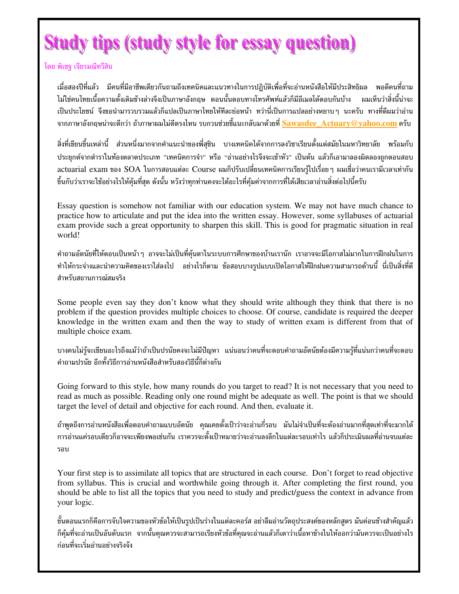# **Study tips (study style for essay question)**

โดย พิเชรฺ เจียรมณีทวีสิน

เมื่อสองปีที่แล้ว มีคนที่มีอาชีพเดียวกันถามถึงเทคนิคและแนวทางในการปฏิบัติเพื่อที่จะอ่านหนังสือให้มีประสิทธิผล พอดีคนที่ถาม ไม่ใช่คนไทยเนื้อความตั้งเดิมข้างล่างจึงเป็นภาษาอังกฤษ ตอนนั้นตอบทางโทรศัพท์แล้วก็มีอีเมลโต้ตอบกันบ้าง ผมเห็นว่าสิ่งนี้น่าจะ เป็นประโยชน์ จึงขอนำมารวบรวมแล้วก็แปลเป็นภาษาไทยให้ทีละย่อหน้า ทว่านี่เป็นการแปลอย่างหยาบๆ นะครับ ทางที่ดีผมว่าอ่าน ิจากภาษาอังกฤษน่าจะดีกว่า ถ้าภาษาผมไม่ดีตรงไหน รบกวนช่วยชี้แนะกลับมาด้วยที่ <mark>Sawasdee Actuary@yahoo.com</mark> ครับ

สิ่งที่เขียนขึ้นเหล่านี้ ส่วนหนึ่งมากจากคำแนะนำของพี่สุชิน บางเทคนิคได้จากการลงวิชาเรียนตั้งแต่สมัยในมหาวิทยาลัย พร้อมกับ ประยุกต์จากตำราในท้องตลาดประเภท "เทคนิคการจำ" หรือ "อ่านอย่างไรจึงจะเข้าหัว" เป็นต้น แล้วก็เอามาลองผิดลองถูกตอนสอบ actuarial exam ของ SOA ในการสอบแต่ละ Course ผมก็ปรับเปลี่ยนเทคนิคการเรียนรู้ไปเรื่อยๆ ผมเชื่อว่าคนเรามีเวลาเท่ากัน ์ ขึ้นกับว่าเราจะใช้อย่างไรให้คุ้มที่สุด ดังนั้น หวังว่าทุกท่านคงจะได้อะไรที่คุ้มค่าจากการที่ได้เสียเวลาอ่านสิ่งต่อไปนี้ครับ

Essay question is somehow not familiar with our education system. We may not have much chance to practice how to articulate and put the idea into the written essay. However, some syllabuses of actuarial exam provide such a great opportunity to sharpen this skill. This is good for pragmatic situation in real world!

้คำถามอัตนัยที่ให้ตอบเป็นหน้า ๆ อาจจะไม่เป็นที่คุ้นตาในระบบการศึกษาของบ้านเรานัก เราอาจจะมีโอกาสไม่มากในการฝึกฝนในการ ี ทำให้กระจ่างและนำความคิดของเราใส่ลงไป อย่างไรก็ตาม ข้อสอบบางรปแบบเปิดโอกาสให้ฝึกฝนความสามารถด้านนี้ นี่เป็นสิ่งที่ดี สำหรับสถานการณ์สมจริง

Some people even say they don't know what they should write although they think that there is no problem if the question provides multiple choices to choose. Of course, candidate is required the deeper knowledge in the written exam and then the way to study of written exam is different from that of multiple choice exam.

ี บางคนไม่รู้จะเขียนอะไรถึงแม้ว่าถ้าเป็นปรนัยคงจะไม่มีปัญหา แน่นอนว่าคนที่จะตอบคำถามอัตนัยต้องมีความรู้ที่แน่นกว่าคนที่จะตอบ ้คำถามปรนัย อีกทั้งวิธีการอ่านหนังสือสำหรับสองวิธีนี้ก็ต่างกัน

Going forward to this style, how many rounds do you target to read? It is not necessary that you need to read as much as possible. Reading only one round might be adequate as well. The point is that we should target the level of detail and objective for each round. And then, evaluate it.

้ถ้าพูดถึงการอ่านหนังสือเพื่อตอบคำถามแบบอัตนัย คุณเคยตั้งเป้าว่าจะอ่านกี่รอบ มันไม่จำเป็นที่จะต้องอ่านมากที่สุดเท่าที่จะมากได้ ้การอ่านแค่รอบเดียวก็อาจจะเพียงพอเช่นกัน เราควรจะตั้งเป้าหมายว่าจะอ่านลงลึกในแต่ละรอบเท่าไร แล้วก็ประเมินผลที่อ่านจบแต่ละ รอบ

Your first step is to assimilate all topics that are structured in each course. Don't forget to read objective from syllabus. This is crucial and worthwhile going through it. After completing the first round, you should be able to list all the topics that you need to study and predict/guess the context in advance from your logic.

้ขั้นตอนแรกก็คือการจับใจความของหัวข้อให้เป็นรูปเป็นร่างในแต่ละคอร์ส อย่าลืมอ่านวัตถุประสงค์ของหลักสูตร มันค่อนข้างสำคัญแล้ว ้ก็คุ้มที่จะอ่านเป็นอันดับแรก จากนั้นคุณควรจะสามารถเรียงหัวข้อที่คุณจะอ่านแล้วก็เดาว่าเนื้อหาข้างในให้ออกว่ามันควรจะเป็นอย่างไร ก่อนที่จะเริ่มอ่านอย่างจริงจัง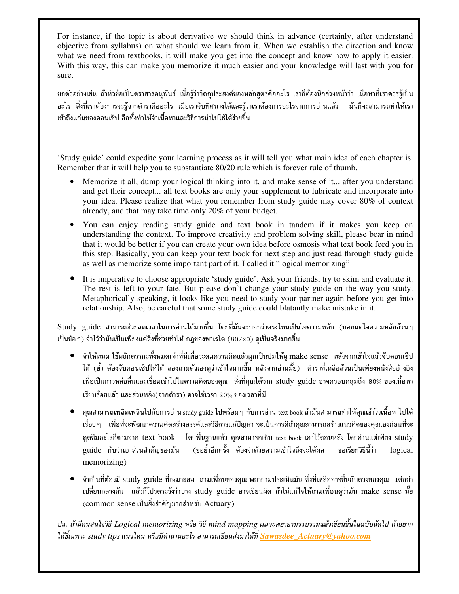For instance, if the topic is about derivative we should think in advance (certainly, after understand objective from syllabus) on what should we learn from it. When we establish the direction and know what we need from textbooks, it will make you get into the concept and know how to apply it easier. With this way, this can make you memorize it much easier and your knowledge will last with you for sure.

ยกตัวอย่างเช่น ถ้าหัวข้อเป็นตราสารอนุพันธ์ เมื่อรู้ว่าวัตถุประสงค์ของหลักสูตรคืออะไร เราก็ต้องนึกล่วงหน้าว่า เนื้อหาที่เราควรรู้เป็น อะไร สิ่งที่เราต้องการจะรู้จากตำราคืออะไร เมื่อเราจับทิศทางได้และรู้ว่าเราต้องการอะไรจากการอ่านแล้ว มันก็จะสามารถทำให้เรา เข้าถึงแก่นของคอนเซ็ป อีกทั้งทำให้จำเนื้อหาและวิธีการนำไปใช้ได้ง่ายขึ้น

'Study guide' could expedite your learning process as it will tell you what main idea of each chapter is. Remember that it will help you to substantiate 80/20 rule which is forever rule of thumb.

- Memorize it all, dump your logical thinking into it, and make sense of it... after you understand and get their concept... all text books are only your supplement to lubricate and incorporate into your idea. Please realize that what you remember from study guide may cover 80% of context already, and that may take time only 20% of your budget.
- You can enjoy reading study guide and text book in tandem if it makes you keep on understanding the context. To improve creativity and problem solving skill, please bear in mind that it would be better if you can create your own idea before osmosis what text book feed you in this step. Basically, you can keep your text book for next step and just read through study guide as well as memorize some important part of it. I called it "logical memorizing"
- It is imperative to choose appropriate 'study guide'. Ask your friends, try to skim and evaluate it. The rest is left to your fate. But please don't change your study guide on the way you study. Metaphorically speaking, it looks like you need to study your partner again before you get into relationship. Also, be careful that some study guide could blatantly make mistake in it.

 ${\bf Study\,\,\, guide\,\,\,}$ สามารถช่วยลดเวลาในการอ่านได้มากขึ้น โดยที่มันจะบอกว่าตรงไหนเป็นใจความหลัก (บอกแต่ใจความหลักล้วนๆ เป็นข้อ ๆ) จำไว้ว่ามันเป็นเพียงแค่สิ่งที่ช่วยทำให้ กฎของพาเรโต (80/20) ดูเป็นจริงมากขึ้น

- จำให้หมด ใช้หลักตรรกะทั้งหมดเท่าที่มีเพื่อระดมความคิดแล้วผูกเป็นปมให้ดู make sense หลังจากเข้าใจแล้วจับคอนเซ็ป ได้ (ย้ำ ต้องจับคอนเซ็ปให้ได้ ลองถามตัวเองดูว่าเข้าใจมากขึ้น หลังจากอ่านมั๊ย) ตำราที่เหลือล้วนเป็นเพียงหนังสืออ้างอิง -เพื่อเป็นกาวหล่อลื่นและเชื่อมเข้าไปในความคิดของคุณ สิ่งที่คุณได้จาก study guide อาจครอบคลุมถึง 80% ของเนื้อหา เรียบร้อยแล้ว และส่วนหลัง(จากตำรา) อาจใช้เวลา 20% ของเวลาที่มี
- $\bullet$  คุณสามารถเพลิดเพลินไปกับการอ่าน study guide ไปพร้อม ๆ กับการอ่าน text book ถ้ามันสามารถทำให้คุณเข้าใจเนื้อหาไปได้ เรื่อย ๆ เพื่อที่จะพัฒนาความคิดสร้างสรรค์และวิธีการแก้ปัญหา จะเป็นการดีถ้าคุณสามารถสร้างแนวคิดของคุณเองก่อนที่จะ ดูดซึมอะไรก็ตามจาก text book โดยพื้นฐานแล้ว คุณสามารถเก็บ text book เอาไว้ตอนหลัง โดยอ่านแต่เพียง study guide กับจำเอาส่วนสำคัญของมัน (ขอ ย้ำอีกครั้ง ต้องจำด้วยความเข้าใจถึงจะได้ผล ขอ ขอเรียกวิธีนี้ว่า logical memorizing)
- จำเป็นที่ต้องมี study guide ที่เหมาะสม ถามเพื่อนของคุณ พยายามประเมินมัน ซึ่งที่เหลืออาจขึ้นกับดวงของคุณ แต่อย่า เปลี่ยนกลางคัน แล้วก็โปรดระวังว่าบาง study guide อาจเขียนผิด ถ้าไม่แน่ใจให้ถามเพื่อนดูว่ามัน make sense มั๊ย  $\left(\textrm{common sense}$  เป็นสิ่งสำคัญมากสำหรับ  $\rm{Actually}$  )

ปล. ถ้ามีคนสนใจวิธี Logical memorizing หรือ วิธี mind mapping ผมจะพยายามรวบรวมแล้วเขียนขึ้นในฉบับถัดไป ถ้าอยาก ให้ซี้เฉพาะ study tips แนวไหน หรือมีคำถามอะไร สามารถเขียนส่งมาได้ที่ <mark>Sawasdee\_Actuary@yahoo.com</mark>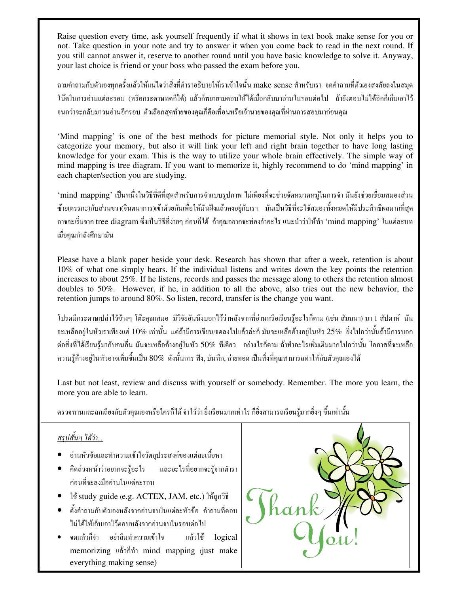Raise question every time, ask yourself frequently if what it shows in text book make sense for you or not. Take question in your note and try to answer it when you come back to read in the next round. If you still cannot answer it, reserve to another round until you have basic knowledge to solve it. Anyway, your last choice is friend or your boss who passed the exam before you.

ี ถามคำถามกับตัวเองทุกครั้งแล้วให้แน่ใจว่าสิ่งที่ตำราอธิบายให้เราเข้าใจนั้น make sense สำหรับเรา จดคำถามที่ตัวเองสงสัยลงในสมุด ์ โน๊ตในการอ่านแต่ละรอบ (หรือกระคาษทคก็ได้) แล้วก็พยายามตอบให้ได้เมื่อกลับมาอ่านในรอบต่อไป ถ้ายังตอบไม่ได้อีกก็เก็บเอาไว้ ็ จนกว่าจะกลับมาวนอ่านอีกรอบ ตัวเลือกสุดท้ายของคุณก็คือเพื่อนหรือเจ้านายของคุณที่ผ่านการสอบมาก่อนคุณ

'Mind mapping' is one of the best methods for picture memorial style. Not only it helps you to categorize your memory, but also it will link your left and right brain together to have long lasting knowledge for your exam. This is the way to utilize your whole brain effectively. The simple way of mind mapping is tree diagram. If you want to memorize it, highly recommend to do 'mind mapping' in each chapter/section you are studying.

'mind mapping' เป็นหนึ่งในวิธีที่ดีที่สดสำหรับการจำแบบรปภาพ ไม่เพียงที่จะช่วยจัดหมวดหม่ในการจำ มันยังช่วยเชื่อมสมองส่วน ์ซ้าย(ตรรกะ)กับส่วนขวา(จินตนาการ)เข้าด้วยกันเพื่อให้มันฝังแล้วคงอยู่กับเรา มันเป็นวิธีที่จะใช้สมองทั้งหมดให้มีประสิทธิผลมากที่สุด อาจจะเริ่มจาก tree diagram ซึ่งเป็นวิธีที่ง่ายๆ ก่อนก็ได้ ถ้าคุณอยากจะท่องจำอะไร แนะนำว่าให้ทำ 'mind mapping' ในแต่ละบท เมื่อคุณกำลังศึกษามัน

Please have a blank paper beside your desk. Research has shown that after a week, retention is about 10% of what one simply hears. If the individual listens and writes down the key points the retention increases to about 25%. If he listens, records and passes the message along to others the retention almost doubles to 50%. However, if he, in addition to all the above, also tries out the new behavior, the retention jumps to around 80%. So listen, record, transfer is the change you want.

โปรดมีกระดาษเปล่าไว้ข้างๆ โต๊ะกุณเสมอ มีวิจัยอันนึงบอกไว้ว่าหลังจากที่อ่านหรือเรียนรู้อะไรก็ตาม (เช่น สัมมนา) มา 1 สัปดาห์ มัน ึ่ จะเหลืออยู่ในหัวเราเพียงแค่ 10% เท่านั้น แต่ถ้ามีการเขียน/จดลงไปแล้วล่ะกี มันจะเหลือค้างอยู่ในหัว 25% ซึ่งไปกว่านั้นถ้ามีการบอก ต่อสิ่งที่ได้เรียนรู้มากับคนอื่น มันจะเหลือค้างอยู่ในหัว 50% ทีเดียว อย่างไรก็ตาม ถ้าทำอะไรเพิ่มเติมมากไปกว่านั้น โอกาสที่จะเหลือ ี ความรู้ค้างอยู่ในหัวอาจเพิ่มขึ้นเป็น 80% ดังนั้นการ ฟัง, บันทึก, ถ่ายทอด เป็นสิ่งที่คุณสามารถทำให้กับตัวคุณเองได้

Last but not least, review and discuss with yourself or somebody. Remember. The more you learn, the more you are able to learn.

่ ตรวจทานและถกเถียงกับตัวกุณเองหรือใครก็ได้ จำไว้ว่า ยิ่งเรียนมากเท่าไร ก็ยิ่งสามารถเรียนรู้มากยิ่งๆ ขึ้นเท่านั้น

#### <u>สรุปสั้นๆ ใค้ว่า...</u>

- อ่านหัวข้อและทำความเข้าใจวัตถุประสงค์ของแต่ละเนื้อหา
- คิดล่วงหน้าว่าอยากจะรู้อะไร และอะไรที่อยากจะรู้จากตำรา ก่อนที่จะลงมืออ่านในแต่ละรอบ
- ใช้ study guide (e.g. ACTEX, JAM, etc.) ให้ถูกวิธี
- $\bullet$  ตั้งคำถามกับตัวเองหลังจากอ่านจบในแต่ละหัวข้อ คำถามที่ตอบ ไม่ได้ให้เก็บเอาไว้ตอบหลังจากอ่านจบในรอบต่อไป
- ึ จดแถ้วก็จำ อย่าลืมทำความเข้าใจ แถ้วใช้ logical memorizing แล้วกี่ทำ mind mapping (just make everything making sense)